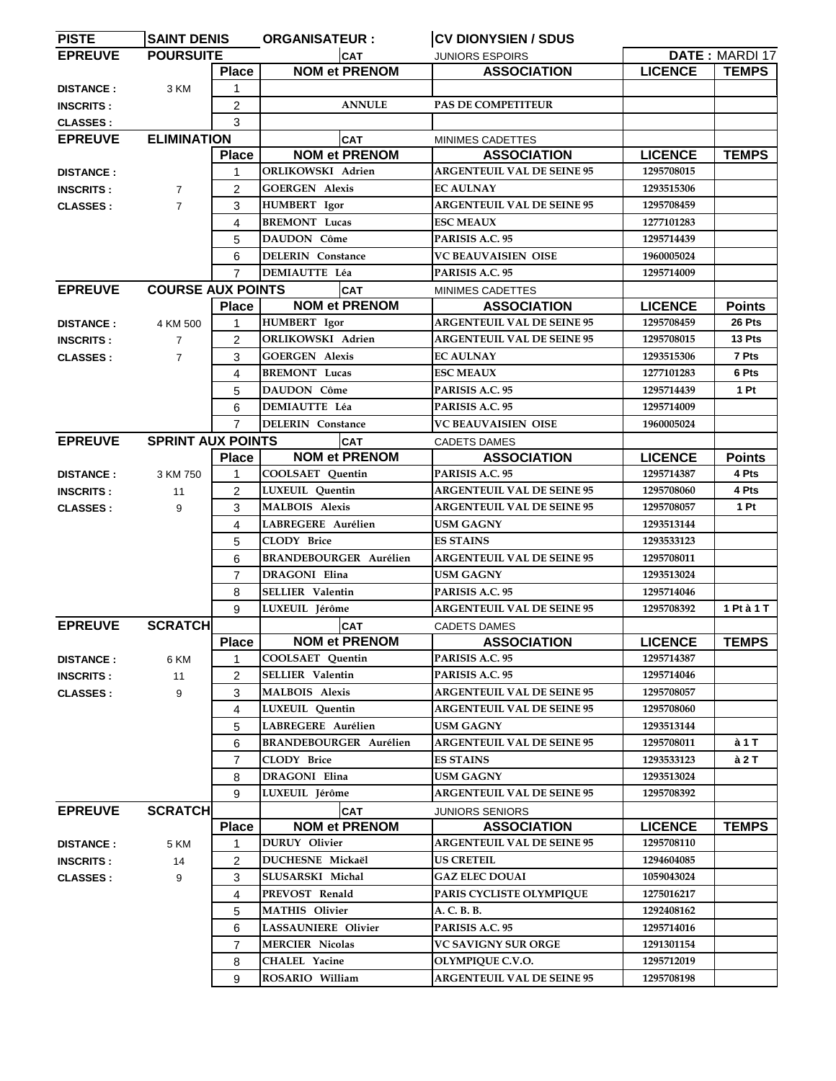| <b>PISTE</b>     | <b>SAINT DENIS</b>       |                | <b>ORGANISATEUR :</b>         | <b>CV DIONYSIEN / SDUS</b>                |                |                |
|------------------|--------------------------|----------------|-------------------------------|-------------------------------------------|----------------|----------------|
| <b>EPREUVE</b>   | <b>POURSUITE</b>         |                | <b>CAT</b>                    | <b>JUNIORS ESPOIRS</b>                    |                | DATE: MARDI 17 |
|                  |                          | <b>Place</b>   | <b>NOM et PRENOM</b>          | <b>ASSOCIATION</b>                        | <b>LICENCE</b> | <b>TEMPS</b>   |
| <b>DISTANCE:</b> | 3 KM                     | 1              |                               |                                           |                |                |
| <b>INSCRITS:</b> |                          | 2              | <b>ANNULE</b>                 | <b>PAS DE COMPETITEUR</b>                 |                |                |
| <b>CLASSES:</b>  |                          | 3              |                               |                                           |                |                |
| <b>EPREUVE</b>   | <b>ELIMINATION</b>       |                | <b>CAT</b>                    | MINIMES CADETTES                          |                |                |
|                  |                          | <b>Place</b>   | <b>NOM et PRENOM</b>          | <b>ASSOCIATION</b>                        | <b>LICENCE</b> | <b>TEMPS</b>   |
|                  |                          | $\mathbf 1$    | <b>ORLIKOWSKI Adrien</b>      | <b>ARGENTEUIL VAL DE SEINE 95</b>         | 1295708015     |                |
| <b>DISTANCE:</b> |                          |                |                               |                                           | 1293515306     |                |
| <b>INSCRITS:</b> | $\overline{7}$           | 2              | <b>GOERGEN Alexis</b>         | <b>EC AULNAY</b>                          |                |                |
| <b>CLASSES:</b>  | $\overline{7}$           | 3              | <b>HUMBERT</b> Igor           | <b>ARGENTEUIL VAL DE SEINE 95</b>         | 1295708459     |                |
|                  |                          | 4              | <b>BREMONT</b> Lucas          | <b>ESC MEAUX</b>                          | 1277101283     |                |
|                  |                          | 5              | DAUDON Côme                   | PARISIS A.C. 95                           | 1295714439     |                |
|                  |                          | 6              | <b>DELERIN</b> Constance      | <b>VC BEAUVAISIEN OISE</b>                | 1960005024     |                |
|                  |                          | $\overline{7}$ | <b>DEMIAUTTE Léa</b>          | PARISIS A.C. 95                           | 1295714009     |                |
| <b>EPREUVE</b>   | <b>COURSE AUX POINTS</b> |                | <b>CAT</b>                    | MINIMES CADETTES                          |                |                |
|                  |                          | <b>Place</b>   | <b>NOM et PRENOM</b>          | <b>ASSOCIATION</b>                        | <b>LICENCE</b> | <b>Points</b>  |
| <b>DISTANCE:</b> | 4 KM 500                 | $\mathbf{1}$   | HUMBERT Igor                  | <b>ARGENTEUIL VAL DE SEINE 95</b>         | 1295708459     | 26 Pts         |
| <b>INSCRITS:</b> | $\overline{7}$           | 2              | <b>ORLIKOWSKI Adrien</b>      | <b>ARGENTEUIL VAL DE SEINE 95</b>         | 1295708015     | 13 Pts         |
| <b>CLASSES:</b>  | $\overline{7}$           | 3              | <b>GOERGEN Alexis</b>         | <b>EC AULNAY</b>                          | 1293515306     | 7 Pts          |
|                  |                          | 4              | <b>BREMONT Lucas</b>          | <b>ESC MEAUX</b>                          | 1277101283     | 6 Pts          |
|                  |                          | 5              | DAUDON Côme                   | PARISIS A.C. 95                           | 1295714439     | 1 Pt           |
|                  |                          | 6              | <b>DEMIAUTTE Léa</b>          | PARISIS A.C. 95                           | 1295714009     |                |
|                  |                          | $\overline{7}$ | <b>DELERIN</b> Constance      | <b>VC BEAUVAISIEN OISE</b>                | 1960005024     |                |
| <b>EPREUVE</b>   | <b>SPRINT AUX POINTS</b> |                | <b>CAT</b>                    |                                           |                |                |
|                  |                          | <b>Place</b>   | <b>NOM et PRENOM</b>          | <b>CADETS DAMES</b><br><b>ASSOCIATION</b> | <b>LICENCE</b> | <b>Points</b>  |
|                  |                          | 1              | <b>COOLSAET</b> Quentin       | PARISIS A.C. 95                           | 1295714387     | 4 Pts          |
| <b>DISTANCE:</b> | 3 KM 750                 |                |                               | <b>ARGENTEUIL VAL DE SEINE 95</b>         |                | 4 Pts          |
| <b>INSCRITS:</b> | 11                       | 2              | LUXEUIL Quentin               |                                           | 1295708060     |                |
| <b>CLASSES:</b>  | 9                        | 3              | <b>MALBOIS Alexis</b>         | <b>ARGENTEUIL VAL DE SEINE 95</b>         | 1295708057     | 1 Pt           |
|                  |                          | 4              | LABREGERE Aurélien            | <b>USM GAGNY</b>                          | 1293513144     |                |
|                  |                          | 5              | <b>CLODY Brice</b>            | <b>ES STAINS</b>                          | 1293533123     |                |
|                  |                          | 6              | <b>BRANDEBOURGER Aurélien</b> | <b>ARGENTEUIL VAL DE SEINE 95</b>         | 1295708011     |                |
|                  |                          | $\overline{7}$ | <b>DRAGONI Elina</b>          | USM GAGNY                                 | 1293513024     |                |
|                  |                          | 8              | SELLIER Valentin              | PARISIS A.C. 95                           | 1295714046     |                |
|                  |                          | 9              | LUXEUIL Jérôme                | <b>ARGENTEUIL VAL DE SEINE 95</b>         | 1295708392     | 1 Pt à 1 T     |
| <b>EPREUVE</b>   | <b>SCRATCH</b>           |                | <b>CAT</b>                    | <b>CADETS DAMES</b>                       |                |                |
|                  |                          | <b>Place</b>   | <b>NOM et PRENOM</b>          | <b>ASSOCIATION</b>                        | <b>LICENCE</b> | <b>TEMPS</b>   |
| <b>DISTANCE:</b> | 6 KM                     | 1              | COOLSAET Quentin              | PARISIS A.C. 95                           | 1295714387     |                |
| <b>INSCRITS:</b> | 11                       | 2              | <b>SELLIER Valentin</b>       | PARISIS A.C. 95                           | 1295714046     |                |
| <b>CLASSES:</b>  | 9                        | 3              | <b>MALBOIS Alexis</b>         | <b>ARGENTEUIL VAL DE SEINE 95</b>         | 1295708057     |                |
|                  |                          | 4              | LUXEUIL Quentin               | <b>ARGENTEUIL VAL DE SEINE 95</b>         | 1295708060     |                |
|                  |                          | 5              | LABREGERE Aurélien            | <b>USM GAGNY</b>                          | 1293513144     |                |
|                  |                          | 6              | <b>BRANDEBOURGER Aurélien</b> | <b>ARGENTEUIL VAL DE SEINE 95</b>         | 1295708011     | à 1 T          |
|                  |                          |                | <b>CLODY Brice</b>            | <b>ES STAINS</b>                          | 1293533123     | à 2 T          |
|                  |                          | $\overline{7}$ |                               |                                           |                |                |
|                  |                          | 8              | DRAGONI Elina                 | USM GAGNY                                 | 1293513024     |                |
|                  |                          | 9              | LUXEUIL Jérôme                | <b>ARGENTEUIL VAL DE SEINE 95</b>         | 1295708392     |                |
| <b>EPREUVE</b>   | <b>SCRATCH</b>           |                | <b>CAT</b>                    | <b>JUNIORS SENIORS</b>                    |                |                |
|                  |                          | <b>Place</b>   | <b>NOM et PRENOM</b>          | <b>ASSOCIATION</b>                        | <b>LICENCE</b> | <b>TEMPS</b>   |
| <b>DISTANCE:</b> | 5 KM                     | 1              | <b>DURUY</b> Olivier          | <b>ARGENTEUIL VAL DE SEINE 95</b>         | 1295708110     |                |
| <b>INSCRITS:</b> | 14                       | 2              | DUCHESNE Mickaël              | US CRETEIL                                | 1294604085     |                |
| <b>CLASSES:</b>  | 9                        | 3              | SLUSARSKI Michal              | <b>GAZ ELEC DOUAI</b>                     | 1059043024     |                |
|                  |                          | 4              | PREVOST Renald                | PARIS CYCLISTE OLYMPIQUE                  | 1275016217     |                |
|                  |                          | 5              | <b>MATHIS Olivier</b>         | A. C. B. B.                               | 1292408162     |                |
|                  |                          | 6              | <b>LASSAUNIERE</b> Olivier    | PARISIS A.C. 95                           | 1295714016     |                |
|                  |                          | $\overline{7}$ | <b>MERCIER Nicolas</b>        | VC SAVIGNY SUR ORGE                       | 1291301154     |                |
|                  |                          |                | <b>CHALEL Yacine</b>          | <b>OLYMPIQUE C.V.O.</b>                   | 1295712019     |                |
|                  |                          | 8              |                               |                                           |                |                |
|                  |                          | 9              | ROSARIO William               | <b>ARGENTEUIL VAL DE SEINE 95</b>         | 1295708198     |                |